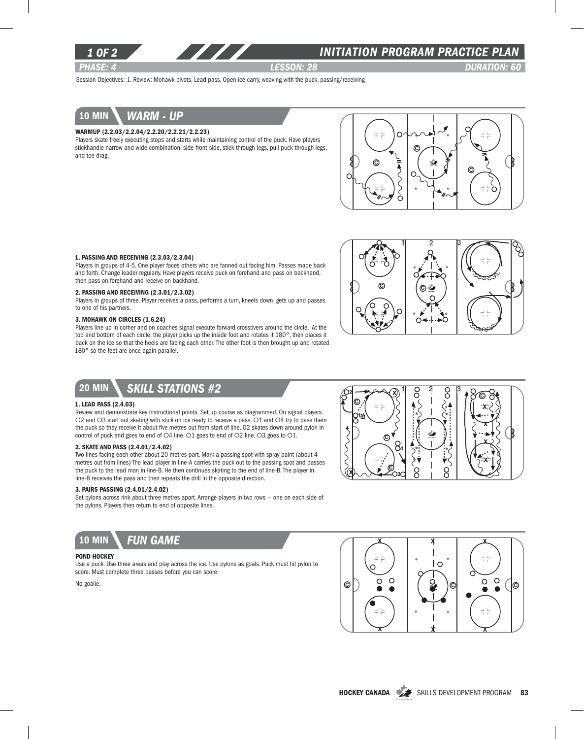

### *INITIATION program PRACTICE PLAN*

*PHASE: 4 lesson: 28 DURATION: 60* 

Session Objectives: 1. Review: Mohawk pivots, Lead pass, Open ice carry, weaving with the puck, passing/receiving

# 10 min *warm - up*

### Warmup (2.2.03/2.2.04/2.2.20/2.2.21/2.2.23)

Players skate freely executing stops and starts while maintaining control of the puck. Have players stickhandle narrow and wide combination, side-front-side, stick through legs, pull puck through legs, and toe drag.



#### 1. Passing and receiving (2.3.03/2.3.04)

Players in groups of 4-5. One player faces others who are fanned out facing him. Passes made back and forth. Change leader regularly. Have players receive puck on forehand and pass on backhand, then pass on forehand and receive on backhand.

#### 2. Passing and Receiving (2.3.01/2.3.02)

Players in groups of three. Player receives a pass, performs a turn, kneels down, gets up and passes to one of his partners.

### 3. Mohawk on Circles (1.6.24)

Players line up in corner and on coaches signal execute forward crossovers around the circle. At the top and bottom of each circle, the player picks up the inside foot and rotates it 180°, then places it back on the ice so that the heels are facing each other. The other foot is then brought up and rotated 180° so the feet are once again parallel.



## 20 min *Skill stations #2*

### 1. Lead Pass (2.4.03)

Review and demonstrate key instructional points. Set up course as diagrammed. On signal players O2 and O3 start out skating with stick on ice ready to receive a pass. O1 and O4 try to pass them the puck so they receive it about five metres out from start of line. O2 skates down around pylon in control of puck and goes to end of O4 line. O1 goes to end of O2 line. O3 goes to O1.

### 2. Skate and Pass (2.4.01/2.4.02)

Two lines facing each other about 20 metres part. Mark a passing spot with spray paint (about 4 metres out from lines) The lead player in line-A carries the puck out to the passing spot and passes the puck to the lead man in line-B. He then continues skating to the end of line-B. The player in line-B receives the pass and then repeats the drill in the opposite direction.

### 3. Pairs passing (2.4.01/2.4.02)

Set pylons across rink about three metres apart. Arrange players in two rows — one on each side of the pylons. Players then return to end of opposite lines.



### POND HOCKEY

Use a puck. Use three areas and play across the ice. Use pylons as goals. Puck must hit pylon to score. Must complete three passes before you can score.

No goalie.